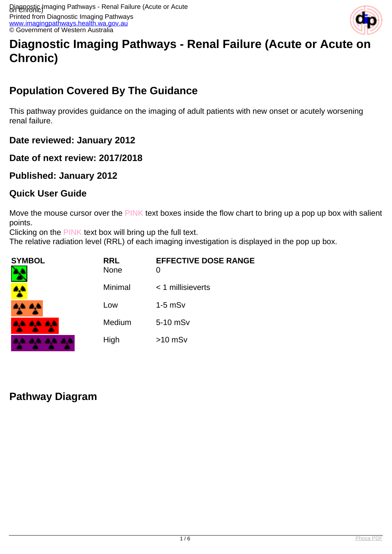

# **Diagnostic Imaging Pathways - Renal Failure (Acute or Acute on Chronic)**

# **Population Covered By The Guidance**

This pathway provides guidance on the imaging of adult patients with new onset or acutely worsening renal failure.

**Date reviewed: January 2012**

**Date of next review: 2017/2018**

**Published: January 2012**

#### **Quick User Guide**

Move the mouse cursor over the PINK text boxes inside the flow chart to bring up a pop up box with salient points.

Clicking on the PINK text box will bring up the full text.

The relative radiation level (RRL) of each imaging investigation is displayed in the pop up box.

| <b>SYMBOL</b> | <b>RRL</b><br>None | <b>EFFECTIVE DOSE RANGE</b><br>0 |
|---------------|--------------------|----------------------------------|
|               | Minimal            | $<$ 1 millisieverts              |
| 8.4 A.L       | Low                | $1-5$ mS $v$                     |
| 44 44 44      | Medium             | 5-10 mSv                         |
| . .           | High               | $>10$ mSv                        |

### **Pathway Diagram**

. . . .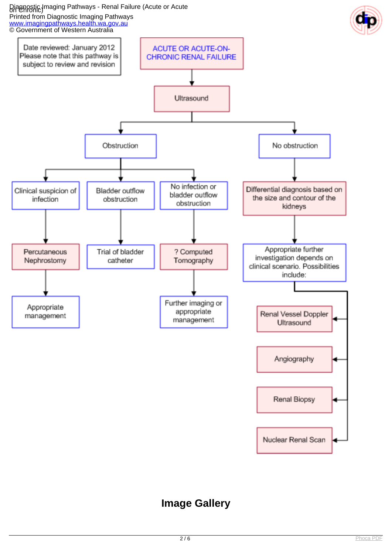# Diagnostic Imaging Pathways - Renal Failure (Acute or Acute<br>on Chronic)



# **Image Gallery**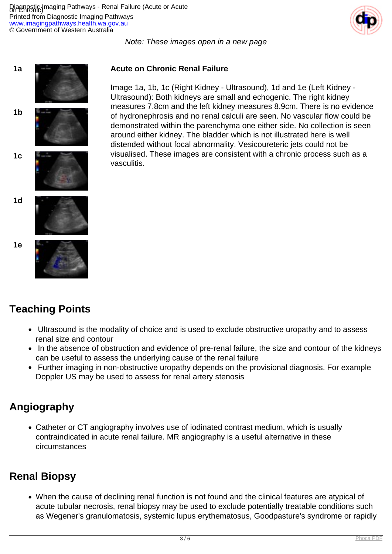

Note: These images open in a new page



## **Teaching Points**

- Ultrasound is the modality of choice and is used to exclude obstructive uropathy and to assess renal size and contour
- In the absence of obstruction and evidence of pre-renal failure, the size and contour of the kidneys can be useful to assess the underlying cause of the renal failure
- Further imaging in non-obstructive uropathy depends on the provisional diagnosis. For example Doppler US may be used to assess for renal artery stenosis

### **Angiography**

Catheter or CT angiography involves use of iodinated contrast medium, which is usually contraindicated in acute renal failure. MR angiography is a useful alternative in these circumstances

## **Renal Biopsy**

When the cause of declining renal function is not found and the clinical features are atypical of acute tubular necrosis, renal biopsy may be used to exclude potentially treatable conditions such as Wegener's granulomatosis, systemic lupus erythematosus, Goodpasture's syndrome or rapidly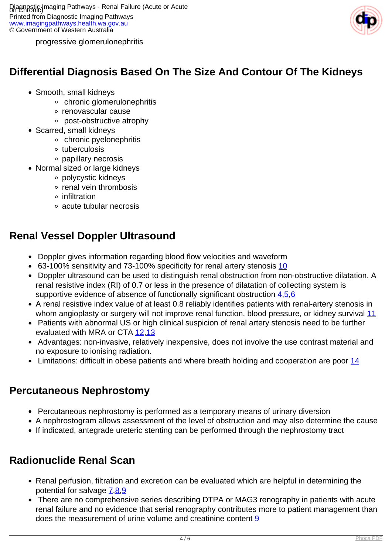

progressive glomerulonephritis

## **Differential Diagnosis Based On The Size And Contour Of The Kidneys**

- Smooth, small kidneys
	- chronic glomerulonephritis
	- o renovascular cause
	- post-obstructive atrophy
- Scarred, small kidneys
	- chronic pyelonephritis
	- tuberculosis
	- papillary necrosis
- Normal sized or large kidneys
	- polycystic kidneys
	- renal vein thrombosis
	- infiltration
	- acute tubular necrosis

### **Renal Vessel Doppler Ultrasound**

- Doppler gives information regarding blood flow velocities and waveform
- 63-100% sensitivity and 73-100% specificity for renal artery stenosis [10](index.php?option=com_content&view=article&id=151&tab=references#10)
- Doppler ultrasound can be used to distinguish renal obstruction from non-obstructive dilatation. A renal resistive index (RI) of 0.7 or less in the presence of dilatation of collecting system is supportive evidence of absence of functionally significant obstruction  $4.5.6$  $4.5.6$  $4.5.6$  $4.5.6$  $4.5.6$
- A renal resistive index value of at least 0.8 reliably identifies patients with renal-artery stenosis in whom angioplasty or surgery will not improve renal function, blood pressure, or kidney survival [11](index.php?option=com_content&view=article&id=151&tab=references#11)
- Patients with abnormal US or high clinical suspicion of renal artery stenosis need to be further evaluated with MRA or CTA [12](index.php?option=com_content&view=article&id=151&tab=references#12)[,13](index.php?option=com_content&view=article&id=151&tab=references#13)
- Advantages: non-invasive, relatively inexpensive, does not involve the use contrast material and no exposure to ionising radiation.
- $\bullet$  Limitations: difficult in obese patients and where breath holding and cooperation are poor [14](index.php?option=com_content&view=article&id=151&tab=references#14)

### **Percutaneous Nephrostomy**

- Percutaneous nephrostomy is performed as a temporary means of urinary diversion
- A nephrostogram allows assessment of the level of obstruction and may also determine the cause
- If indicated, antegrade ureteric stenting can be performed through the nephrostomy tract

### **Radionuclide Renal Scan**

- Renal perfusion, filtration and excretion can be evaluated which are helpful in determining the potential for salvage [7,](index.php?option=com_content&view=article&id=151&tab=references#7)[8,](index.php?option=com_content&view=article&id=151&tab=references#8)[9](index.php?option=com_content&view=article&id=151&tab=references#9)
- There are no comprehensive series describing DTPA or MAG3 renography in patients with acute renal failure and no evidence that serial renography contributes more to patient management than does the measurement of urine volume and creatinine content [9](index.php?option=com_content&view=article&id=151&tab=references#9)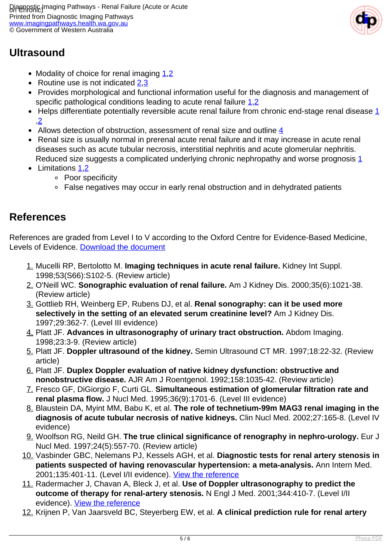

## **Ultrasound**

- Modality of choice for renal imaging  $1,2$  $1,2$
- Routine use is not indicated  $2.3$
- Provides morphological and functional information useful for the diagnosis and management of specific pathological conditions leading to acute renal failure [1](index.php?option=com_content&view=article&id=151&tab=references#1).2
- $\bullet$  Helps differentiate potentially reversible acute renal failure from chronic end-stage renal disease  $1$ ,[2](index.php?option=com_content&view=article&id=151&tab=references#2)
- Allows detection of obstruction, assessment of renal size and outline [4](index.php?option=com_content&view=article&id=151&tab=references#4)
- Renal size is usually normal in prerenal acute renal failure and it may increase in acute renal diseases such as acute tubular necrosis, interstitial nephritis and acute glomerular nephritis. Reduced size suggests a complicated underlying chronic nephropathy and worse prognosis [1](index.php?option=com_content&view=article&id=151&tab=references#1)
- Limitations [1](index.php?option=com_content&view=article&id=151&tab=references#1).2
	- Poor specificity
	- False negatives may occur in early renal obstruction and in dehydrated patients

### **References**

References are graded from Level I to V according to the Oxford Centre for Evidence-Based Medicine, Levels of Evidence. [Download the document](http://www.cebm.net/wp-content/uploads/2014/06/CEBM-Levels-of-Evidence-2.1.pdf)

- 1. Mucelli RP, Bertolotto M. **Imaging techniques in acute renal failure.** Kidney Int Suppl. 1998;53(S66):S102-5. (Review article)
- 2. O'Neill WC. **Sonographic evaluation of renal failure.** Am J Kidney Dis. 2000;35(6):1021-38. (Review article)
- 3. Gottlieb RH, Weinberg EP, Rubens DJ, et al. **Renal sonography: can it be used more selectively in the setting of an elevated serum creatinine level?** Am J Kidney Dis. 1997;29:362-7. (Level III evidence)
- 4. Platt JF. **Advances in ultrasonography of urinary tract obstruction.** Abdom Imaging. 1998;23:3-9. (Review article)
- 5. Platt JF. **Doppler ultrasound of the kidney.** Semin Ultrasound CT MR. 1997;18:22-32. (Review article)
- 6. Platt JF. **Duplex Doppler evaluation of native kidney dysfunction: obstructive and nonobstructive disease.** AJR Am J Roentgenol. 1992;158:1035-42. (Review article)
- 7. Fresco GF, DiGiorgio F, Curti GL. **Simultaneous estimation of glomerular filtration rate and renal plasma flow.** J Nucl Med. 1995;36(9):1701-6. (Level III evidence)
- 8. Blaustein DA, Myint MM, Babu K, et al. **The role of technetium-99m MAG3 renal imaging in the diagnosis of acute tubular necrosis of native kidneys.** Clin Nucl Med. 2002;27:165-8. (Level IV evidence)
- 9. Woolfson RG, Neild GH. **The true clinical significance of renography in nephro-urology.** Eur J Nucl Med. 1997;24(5):557-70. (Review article)
- 10. Vasbinder GBC, Nelemans PJ, Kessels AGH, et al. **Diagnostic tests for renal artery stenosis in patients suspected of having renovascular hypertension: a meta-analysis.** Ann Intern Med. 2001;135:401-11. (Level I/II evidence). [View the reference](http://www.ncbi.nlm.nih.gov/entrez/query.fcgi?cmd=Retrieve&db=pubmed&dopt=Abstract&list_uids=15520423)
- 11. Radermacher J, Chavan A, Bleck J, et al. **Use of Doppler ultrasonography to predict the outcome of therapy for renal-artery stenosis.** N Engl J Med. 2001;344:410-7. (Level I/II evidence). [View the reference](http://www.ncbi.nlm.nih.gov/entrez/query.fcgi?cmd=Retrieve&db=pubmed&dopt=Abstract&list_uids=11172177)
- 12. Krijnen P, Van Jaarsveld BC, Steyerberg EW, et al. **A clinical prediction rule for renal artery**